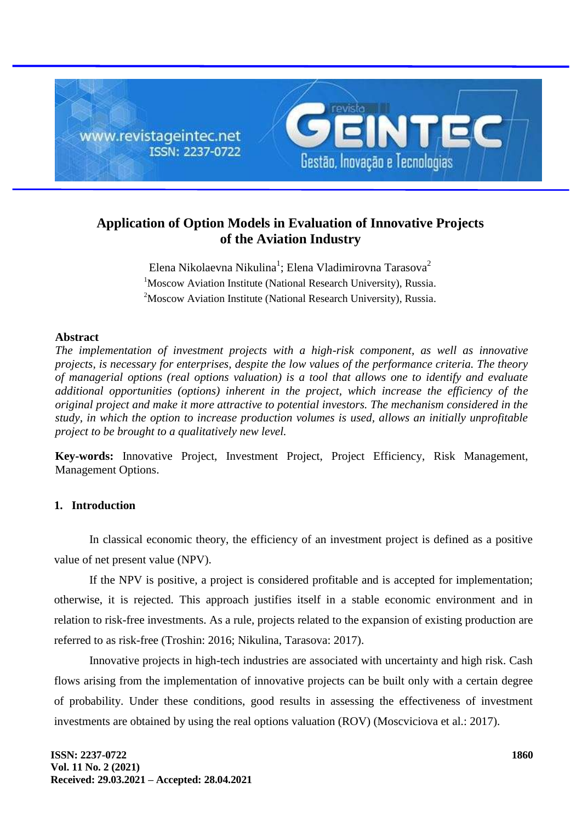

# **Application of Option Models in Evaluation of Innovative Projects of the Aviation Industry**

Elena Nikolaevna Nikulina $^1$ ; Elena Vladimirovna Tarasova $^2$ <sup>1</sup>Moscow Aviation Institute (National Research University), Russia. <sup>2</sup>Moscow Aviation Institute (National Research University), Russia.

# **Abstract**

*The implementation of investment projects with a high-risk component, as well as innovative projects, is necessary for enterprises, despite the low values of the performance criteria. The theory of managerial options (real options valuation) is a tool that allows one to identify and evaluate additional opportunities (options) inherent in the project, which increase the efficiency of the original project and make it more attractive to potential investors. The mechanism considered in the study, in which the option to increase production volumes is used, allows an initially unprofitable project to be brought to a qualitatively new level.*

**Key-words:** Innovative Project, Investment Project, Project Efficiency, Risk Management, Management Options.

# **1. Introduction**

In classical economic theory, the efficiency of an investment project is defined as a positive value of net present value (NPV).

If the NPV is positive, a project is considered profitable and is accepted for implementation; otherwise, it is rejected. This approach justifies itself in a stable economic environment and in relation to risk-free investments. As a rule, projects related to the expansion of existing production are referred to as risk-free (Troshin: 2016; Nikulina, Tarasova: 2017).

Innovative projects in high-tech industries are associated with uncertainty and high risk. Cash flows arising from the implementation of innovative projects can be built only with a certain degree of probability. Under these conditions, good results in assessing the effectiveness of investment investments are obtained by using the real options valuation (ROV) (Moscviciova et al.: 2017).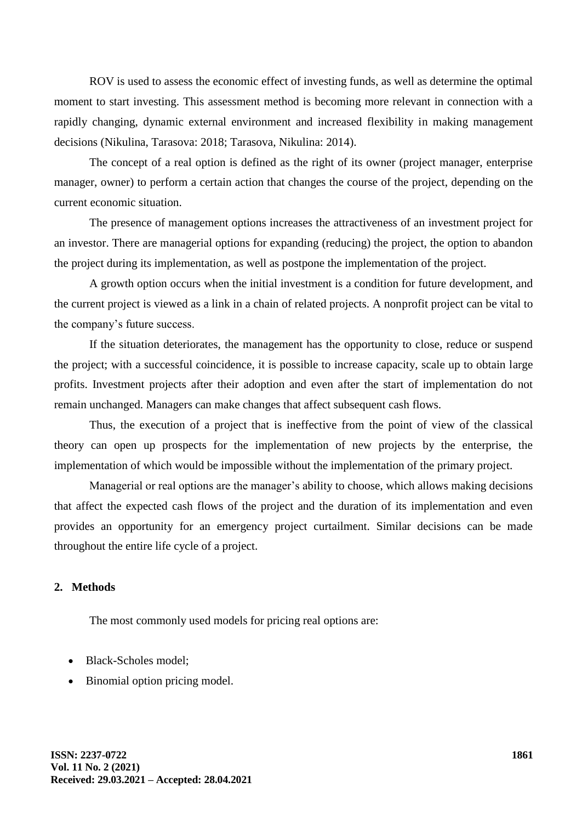ROV is used to assess the economic effect of investing funds, as well as determine the optimal moment to start investing. This assessment method is becoming more relevant in connection with a rapidly changing, dynamic external environment and increased flexibility in making management decisions (Nikulina, Tarasova: 2018; Tarasova, Nikulina: 2014).

The concept of a real option is defined as the right of its owner (project manager, enterprise manager, owner) to perform a certain action that changes the course of the project, depending on the current economic situation.

The presence of management options increases the attractiveness of an investment project for an investor. There are managerial options for expanding (reducing) the project, the option to abandon the project during its implementation, as well as postpone the implementation of the project.

A growth option occurs when the initial investment is a condition for future development, and the current project is viewed as a link in a chain of related projects. A nonprofit project can be vital to the company's future success.

If the situation deteriorates, the management has the opportunity to close, reduce or suspend the project; with a successful coincidence, it is possible to increase capacity, scale up to obtain large profits. Investment projects after their adoption and even after the start of implementation do not remain unchanged. Managers can make changes that affect subsequent cash flows.

Thus, the execution of a project that is ineffective from the point of view of the classical theory can open up prospects for the implementation of new projects by the enterprise, the implementation of which would be impossible without the implementation of the primary project.

Managerial or real options are the manager's ability to choose, which allows making decisions that affect the expected cash flows of the project and the duration of its implementation and even provides an opportunity for an emergency project curtailment. Similar decisions can be made throughout the entire life cycle of a project.

### **2. Methods**

The most commonly used models for pricing real options are:

- Black-Scholes model:
- Binomial option pricing model.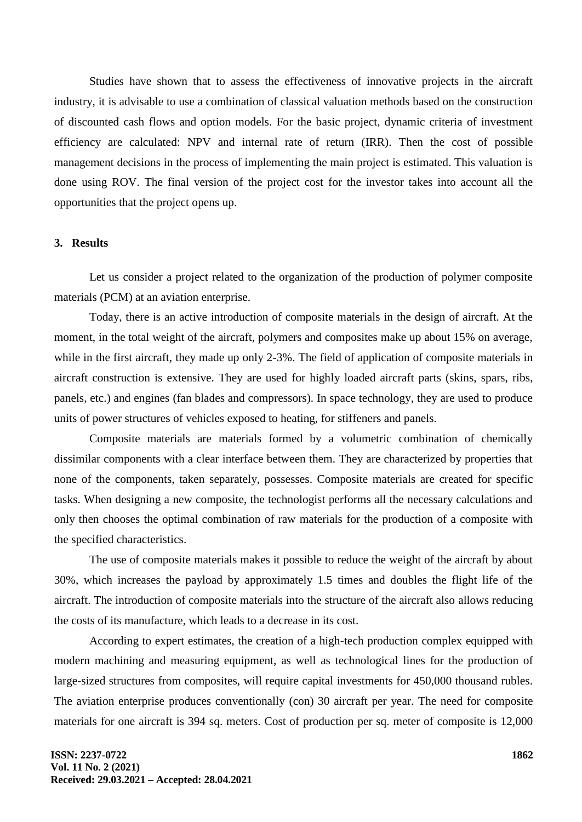Studies have shown that to assess the effectiveness of innovative projects in the aircraft industry, it is advisable to use a combination of classical valuation methods based on the construction of discounted cash flows and option models. For the basic project, dynamic criteria of investment efficiency are calculated: NPV and internal rate of return (IRR). Then the cost of possible management decisions in the process of implementing the main project is estimated. This valuation is done using ROV. The final version of the project cost for the investor takes into account all the opportunities that the project opens up.

#### **3. Results**

Let us consider a project related to the organization of the production of polymer composite materials (PCM) at an aviation enterprise.

Today, there is an active introduction of composite materials in the design of aircraft. At the moment, in the total weight of the aircraft, polymers and composites make up about 15% on average, while in the first aircraft, they made up only 2-3%. The field of application of composite materials in aircraft construction is extensive. They are used for highly loaded aircraft parts (skins, spars, ribs, panels, etc.) and engines (fan blades and compressors). In space technology, they are used to produce units of power structures of vehicles exposed to heating, for stiffeners and panels.

Composite materials are materials formed by a volumetric combination of chemically dissimilar components with a clear interface between them. They are characterized by properties that none of the components, taken separately, possesses. Composite materials are created for specific tasks. When designing a new composite, the technologist performs all the necessary calculations and only then chooses the optimal combination of raw materials for the production of a composite with the specified characteristics.

The use of composite materials makes it possible to reduce the weight of the aircraft by about 30%, which increases the payload by approximately 1.5 times and doubles the flight life of the aircraft. The introduction of composite materials into the structure of the aircraft also allows reducing the costs of its manufacture, which leads to a decrease in its cost.

According to expert estimates, the creation of a high-tech production complex equipped with modern machining and measuring equipment, as well as technological lines for the production of large-sized structures from composites, will require capital investments for 450,000 thousand rubles. The aviation enterprise produces conventionally (con) 30 aircraft per year. The need for composite materials for one aircraft is 394 sq. meters. Cost of production per sq. meter of composite is 12,000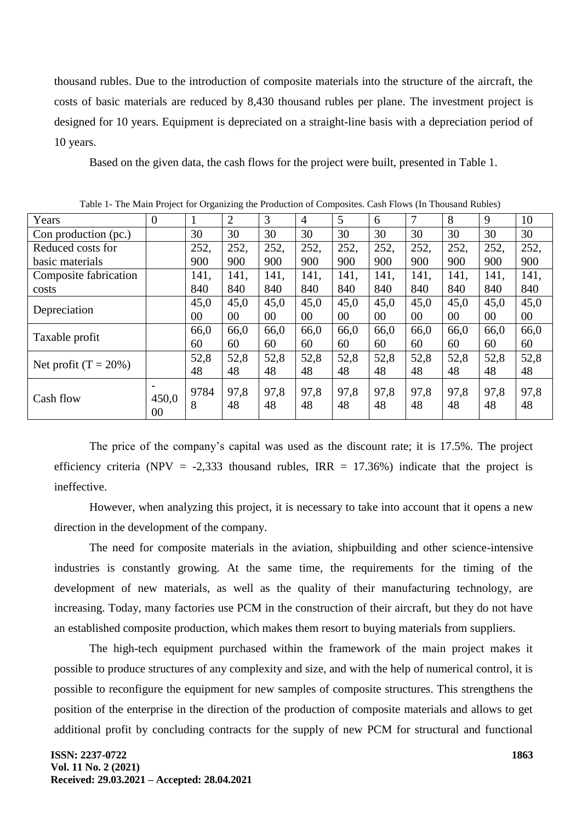thousand rubles. Due to the introduction of composite materials into the structure of the aircraft, the costs of basic materials are reduced by 8,430 thousand rubles per plane. The investment project is designed for 10 years. Equipment is depreciated on a straight-line basis with a depreciation period of 10 years.

Based on the given data, the cash flows for the project were built, presented in Table 1.

| Table 1- The Main Project for Organizing the Production of Composites. Cash Prows (In Thousand Kubles) |                  |           |                |            |                |            |            |            |            |            |            |
|--------------------------------------------------------------------------------------------------------|------------------|-----------|----------------|------------|----------------|------------|------------|------------|------------|------------|------------|
| Years                                                                                                  | $\boldsymbol{0}$ |           | $\overline{2}$ | 3          | $\overline{4}$ | 5          | 6          |            | 8          | 9          | 10         |
| Con production (pc.)                                                                                   |                  | 30        | 30             | 30         | 30             | 30         | 30         | 30         | 30         | 30         | 30         |
| Reduced costs for                                                                                      |                  | 252,      | 252,           | 252,       | 252,           | 252,       | 252,       | 252,       | 252,       | 252,       | 252,       |
| basic materials                                                                                        |                  | 900       | 900            | 900        | 900            | 900        | 900        | 900        | 900        | 900        | 900        |
| Composite fabrication                                                                                  |                  | 141,      | 141,           | 141,       | 141.           | 141.       | 141.       | 141,       | 141,       | 141.       | 141,       |
| costs                                                                                                  |                  | 840       | 840            | 840        | 840            | 840        | 840        | 840        | 840        | 840        | 840        |
| Depreciation                                                                                           |                  | 45,0      | 45,0           | 45,0       | 45,0           | 45,0       | 45,0       | 45,0       | 45,0       | 45,0       | 45,0       |
|                                                                                                        |                  | 00        | $00\,$         | $00\,$     | 00             | 00         | 00         | $00\,$     | 00         | 00         | 00         |
| Taxable profit                                                                                         |                  | 66,0      | 66,0           | 66,0       | 66,0           | 66,0       | 66,0       | 66,0       | 66,0       | 66,0       | 66,0       |
|                                                                                                        |                  | 60        | 60             | 60         | 60             | 60         | 60         | 60         | 60         | 60         | 60         |
| Net profit $(T = 20\%)$                                                                                |                  | 52,8      | 52,8           | 52,8       | 52,8           | 52,8       | 52,8       | 52,8       | 52,8       | 52,8       | 52,8       |
|                                                                                                        |                  | 48        | 48             | 48         | 48             | 48         | 48         | 48         | 48         | 48         | 48         |
| Cash flow                                                                                              | 450,0<br>00      | 9784<br>8 | 97,8<br>48     | 97,8<br>48 | 97,8<br>48     | 97,8<br>48 | 97,8<br>48 | 97,8<br>48 | 97,8<br>48 | 97,8<br>48 | 97,8<br>48 |

Table 1- The Main Project for Organizing the Production of Composites. Cash Flows (In Thousand Rubles)

The price of the company's capital was used as the discount rate; it is 17.5%. The project efficiency criteria (NPV = -2,333 thousand rubles, IRR = 17.36%) indicate that the project is ineffective.

However, when analyzing this project, it is necessary to take into account that it opens a new direction in the development of the company.

The need for composite materials in the aviation, shipbuilding and other science-intensive industries is constantly growing. At the same time, the requirements for the timing of the development of new materials, as well as the quality of their manufacturing technology, are increasing. Today, many factories use PCM in the construction of their aircraft, but they do not have an established composite production, which makes them resort to buying materials from suppliers.

The high-tech equipment purchased within the framework of the main project makes it possible to produce structures of any complexity and size, and with the help of numerical control, it is possible to reconfigure the equipment for new samples of composite structures. This strengthens the position of the enterprise in the direction of the production of composite materials and allows to get additional profit by concluding contracts for the supply of new PCM for structural and functional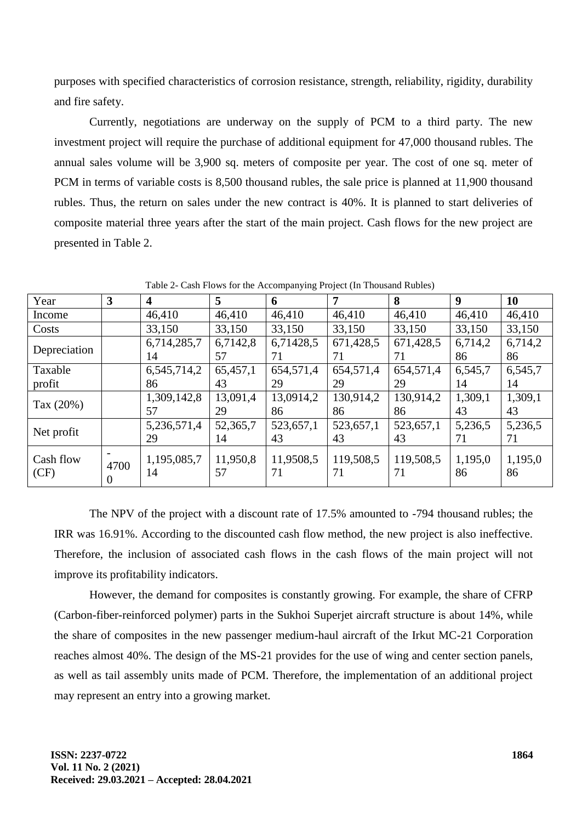purposes with specified characteristics of corrosion resistance, strength, reliability, rigidity, durability and fire safety.

Currently, negotiations are underway on the supply of PCM to a third party. The new investment project will require the purchase of additional equipment for 47,000 thousand rubles. The annual sales volume will be 3,900 sq. meters of composite per year. The cost of one sq. meter of PCM in terms of variable costs is 8,500 thousand rubles, the sale price is planned at 11,900 thousand rubles. Thus, the return on sales under the new contract is 40%. It is planned to start deliveries of composite material three years after the start of the main project. Cash flows for the new project are presented in Table 2.

| Year              | $\mathbf{3}$ | $\boldsymbol{4}$  | 5              | 6               | 7               | 8               | 9             | 10            |
|-------------------|--------------|-------------------|----------------|-----------------|-----------------|-----------------|---------------|---------------|
| Income            |              | 46,410            | 46,410         | 46,410          | 46,410          | 46,410          | 46,410        | 46,410        |
| Costs             |              | 33,150            | 33,150         | 33,150          | 33,150          | 33,150          | 33,150        | 33,150        |
| Depreciation      |              | 6,714,285,7       | 6,7142,8       | 6,71428,5       | 671,428,5       | 671,428,5       | 6,714,2       | 6,714,2       |
|                   |              | 14                | 57             | 71              | 71              | 71              | 86            | 86            |
| Taxable           |              | 6,545,714,2       | 65,457,1       | 654,571,4       | 654,571,4       | 654,571,4       | 6,545,7       | 6,545,7       |
| profit            |              | 86                | 43             | 29              | 29              | 29              | 14            | 14            |
| Tax (20%)         |              | 1,309,142,8       | 13,091,4       | 13,0914,2       | 130,914,2       | 130,914,2       | 1,309,1       | 1,309,1       |
|                   |              | 57                | 29             | 86              | 86              | 86              | 43            | 43            |
| Net profit        |              | 5,236,571,4       | 52,365,7       | 523,657,1       | 523,657,1       | 523,657,1       | 5,236,5       | 5,236,5       |
|                   |              | 29                | 14             | 43              | 43              | 43              | 71            | 71            |
| Cash flow<br>(CF) | 4700         | 1,195,085,7<br>14 | 11,950,8<br>57 | 11,9508,5<br>71 | 119,508,5<br>71 | 119,508,5<br>71 | 1,195,0<br>86 | 1,195,0<br>86 |

Table 2- Cash Flows for the Accompanying Project (In Thousand Rubles)

The NPV of the project with a discount rate of 17.5% amounted to -794 thousand rubles; the IRR was 16.91%. According to the discounted cash flow method, the new project is also ineffective. Therefore, the inclusion of associated cash flows in the cash flows of the main project will not improve its profitability indicators.

However, the demand for composites is constantly growing. For example, the share of CFRP (Carbon-fiber-reinforced polymer) parts in the Sukhoi Superjet aircraft structure is about 14%, while the share of composites in the new passenger medium-haul aircraft of the Irkut MC-21 Corporation reaches almost 40%. The design of the MS-21 provides for the use of wing and center section panels, as well as tail assembly units made of PCM. Therefore, the implementation of an additional project may represent an entry into a growing market.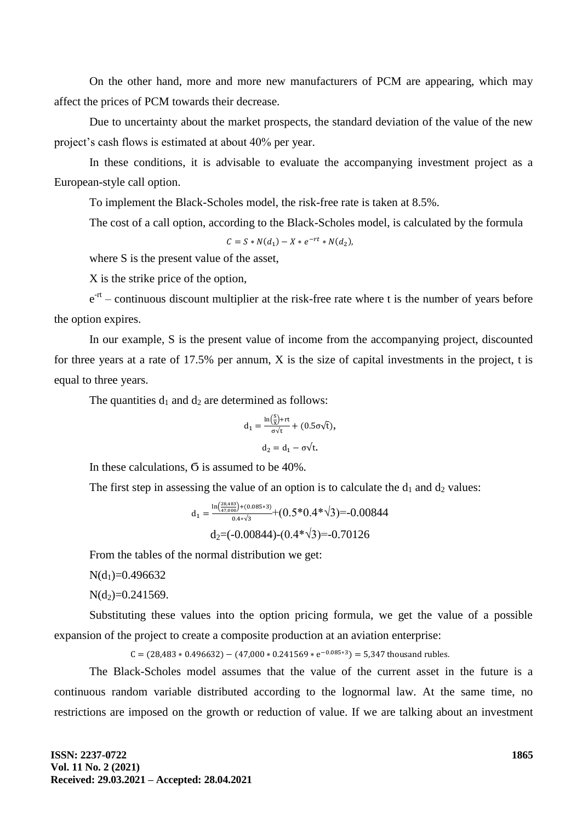On the other hand, more and more new manufacturers of PCM are appearing, which may affect the prices of PCM towards their decrease.

Due to uncertainty about the market prospects, the standard deviation of the value of the new project's cash flows is estimated at about 40% per year.

In these conditions, it is advisable to evaluate the accompanying investment project as a European-style call option.

To implement the Black-Scholes model, the risk-free rate is taken at 8.5%.

The cost of a call option, according to the Black-Scholes model, is calculated by the formula

$$
C = S * N(d_1) - X * e^{-rt} * N(d_2),
$$

where S is the present value of the asset,

X is the strike price of the option,

 $e^{-rt}$  – continuous discount multiplier at the risk-free rate where t is the number of years before the option expires.

In our example, S is the present value of income from the accompanying project, discounted for three years at a rate of 17.5% per annum, X is the size of capital investments in the project, t is equal to three years.

The quantities  $d_1$  and  $d_2$  are determined as follows:

$$
d_1 = \frac{\ln(\frac{S}{X}) + rt}{\sigma \sqrt{t}} + (0.5\sigma\sqrt{t}),
$$
  

$$
d_2 = d_1 - \sigma\sqrt{t}.
$$

In these calculations, Ϭ is assumed to be 40%.

The first step in assessing the value of an option is to calculate the  $d_1$  and  $d_2$  values:

$$
d_1 = \frac{\ln(\frac{28,483}{47,000}) + (0.085*3)}{0.4*\sqrt{3}} + (0.5*0.4*\sqrt{3}) = -0.00844
$$
  

$$
d_2 = (-0.00844) - (0.4*\sqrt{3}) = -0.70126
$$

From the tables of the normal distribution we get:

 $N(d_1)=0.496632$ 

 $N(d_2)=0.241569$ .

Substituting these values into the option pricing formula, we get the value of a possible expansion of the project to create a composite production at an aviation enterprise:

 $C = (28,483 * 0.496632) - (47,000 * 0.241569 * e^{-0.085*3}) =$ 

The Black-Scholes model assumes that the value of the current asset in the future is a continuous random variable distributed according to the lognormal law. At the same time, no restrictions are imposed on the growth or reduction of value. If we are talking about an investment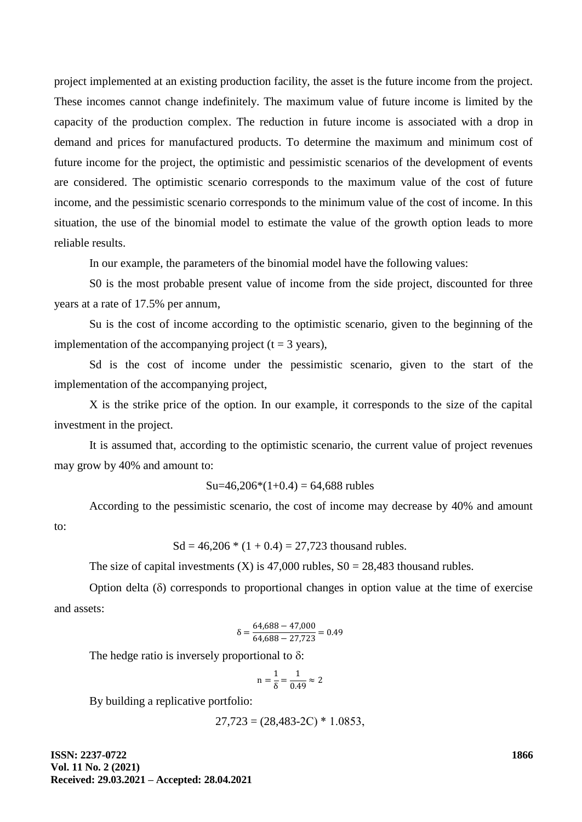project implemented at an existing production facility, the asset is the future income from the project. These incomes cannot change indefinitely. The maximum value of future income is limited by the capacity of the production complex. The reduction in future income is associated with a drop in demand and prices for manufactured products. To determine the maximum and minimum cost of future income for the project, the optimistic and pessimistic scenarios of the development of events are considered. The optimistic scenario corresponds to the maximum value of the cost of future income, and the pessimistic scenario corresponds to the minimum value of the cost of income. In this situation, the use of the binomial model to estimate the value of the growth option leads to more reliable results.

In our example, the parameters of the binomial model have the following values:

S0 is the most probable present value of income from the side project, discounted for three years at a rate of 17.5% per annum,

Su is the cost of income according to the optimistic scenario, given to the beginning of the implementation of the accompanying project ( $t = 3$  years),

Sd is the cost of income under the pessimistic scenario, given to the start of the implementation of the accompanying project,

X is the strike price of the option. In our example, it corresponds to the size of the capital investment in the project.

It is assumed that, according to the optimistic scenario, the current value of project revenues may grow by 40% and amount to:

$$
Su=46,206*(1+0.4) = 64,688
$$
 *rubles*

According to the pessimistic scenario, the cost of income may decrease by 40% and amount to:

 $Sd = 46,206 * (1 + 0.4) = 27,723$  thousand rubles.

The size of capital investments  $(X)$  is 47,000 rubles,  $S0 = 28,483$  thousand rubles.

Option delta  $(\delta)$  corresponds to proportional changes in option value at the time of exercise and assets:

$$
\delta=\frac{64,688-47,000}{64,688-27,723}=0.49
$$

The hedge ratio is inversely proportional to  $\delta$ :

$$
n=\frac{1}{\delta}=\frac{1}{0.49}\approx 2
$$

By building a replicative portfolio:

$$
27{,}723 = (28{,}483{-}2C) * 1.0853,
$$

**ISSN: 2237-0722 Vol. 11 No. 2 (2021) Received: 29.03.2021 – Accepted: 28.04.2021** **1866**